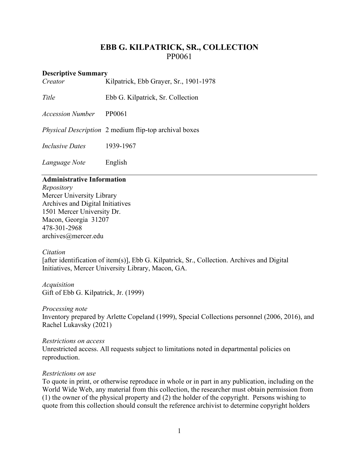# **EBB G. KILPATRICK, SR., COLLECTION** PP0061

#### **Descriptive Summary**

| Creator                | Kilpatrick, Ebb Grayer, Sr., 1901-1978                       |
|------------------------|--------------------------------------------------------------|
| Title                  | Ebb G. Kilpatrick, Sr. Collection                            |
| Accession Number       | PP0061                                                       |
|                        | <i>Physical Description</i> 2 medium flip-top archival boxes |
| <i>Inclusive Dates</i> | 1939-1967                                                    |
| Language Note          | English                                                      |
|                        |                                                              |

### **Administrative Information**

*Repository* Mercer University Library Archives and Digital Initiatives 1501 Mercer University Dr. Macon, Georgia 31207 478-301-2968 [archives@mercer.edu](mailto:archives@mercer.edu)

### *Citation*

[after identification of item(s)], Ebb G. Kilpatrick, Sr., Collection. Archives and Digital Initiatives, Mercer University Library, Macon, GA.

*Acquisition* Gift of Ebb G. Kilpatrick, Jr. (1999)

*Processing note* Inventory prepared by Arlette Copeland (1999), Special Collections personnel (2006, 2016), and Rachel Lukavsky (2021)

#### *Restrictions on access* Unrestricted access. All requests subject to limitations noted in departmental policies on reproduction.

### *Restrictions on use*

To quote in print, or otherwise reproduce in whole or in part in any publication, including on the World Wide Web, any material from this collection, the researcher must obtain permission from (1) the owner of the physical property and (2) the holder of the copyright. Persons wishing to quote from this collection should consult the reference archivist to determine copyright holders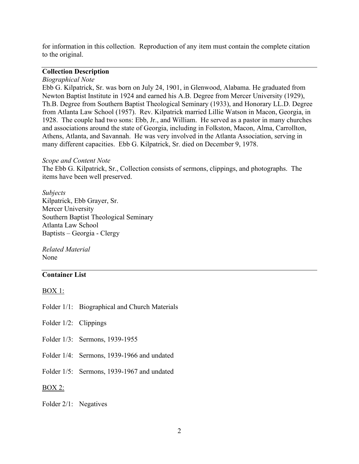for information in this collection. Reproduction of any item must contain the complete citation to the original.

#### **Collection Description**

#### *Biographical Note*

Ebb G. Kilpatrick, Sr. was born on July 24, 1901, in Glenwood, Alabama. He graduated from Newton Baptist Institute in 1924 and earned his A.B. Degree from Mercer University (1929), Th.B. Degree from Southern Baptist Theological Seminary (1933), and Honorary LL.D. Degree from Atlanta Law School (1957). Rev. Kilpatrick married Lillie Watson in Macon, Georgia, in 1928. The couple had two sons: Ebb, Jr., and William. He served as a pastor in many churches and associations around the state of Georgia, including in Folkston, Macon, Alma, Carrollton, Athens, Atlanta, and Savannah. He was very involved in the Atlanta Association, serving in many different capacities. Ebb G. Kilpatrick, Sr. died on December 9, 1978.

#### *Scope and Content Note*

The Ebb G. Kilpatrick, Sr., Collection consists of sermons, clippings, and photographs. The items have been well preserved.

*Subjects* Kilpatrick, Ebb Grayer, Sr. Mercer University Southern Baptist Theological Seminary Atlanta Law School Baptists – Georgia - Clergy

*Related Material* None

## **Container List**

#### BOX 1:

Folder 1/1: Biographical and Church Materials

- Folder 1/2: Clippings
- Folder 1/3: Sermons, 1939-1955
- Folder 1/4: Sermons, 1939-1966 and undated
- Folder 1/5: Sermons, 1939-1967 and undated

BOX 2:

#### Folder 2/1: Negatives